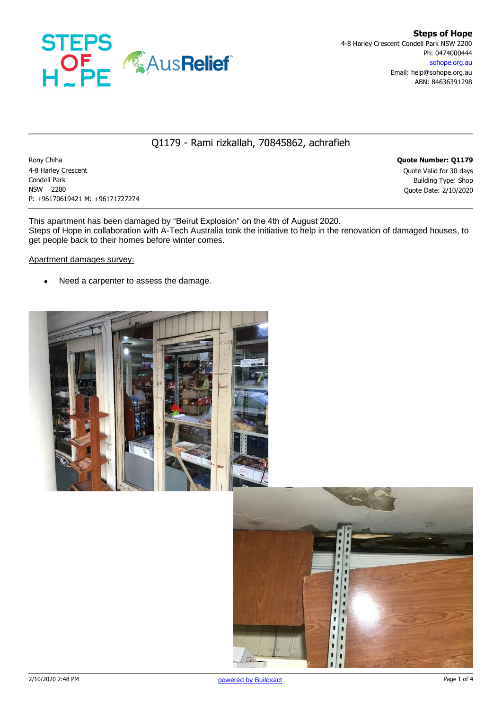

## Q1179 - Rami rizkallah, 70845862, achrafieh

Rony Chiha **Quote Number: Q1179** 4-8 Harley Crescent Quote Valid for 30 days **Condell Park** Building Type: Shop NSW 2200 Quote Date: 2/10/2020 P: +96170619421 M: +96171727274

This apartment has been damaged by "Beirut Explosion" on the 4th of August 2020. Steps of Hope in collaboration with A-Tech Australia took the initiative to help in the renovation of damaged houses, to get people back to their homes before winter comes.

#### Apartment damages survey:

• Need a carpenter to assess the damage.